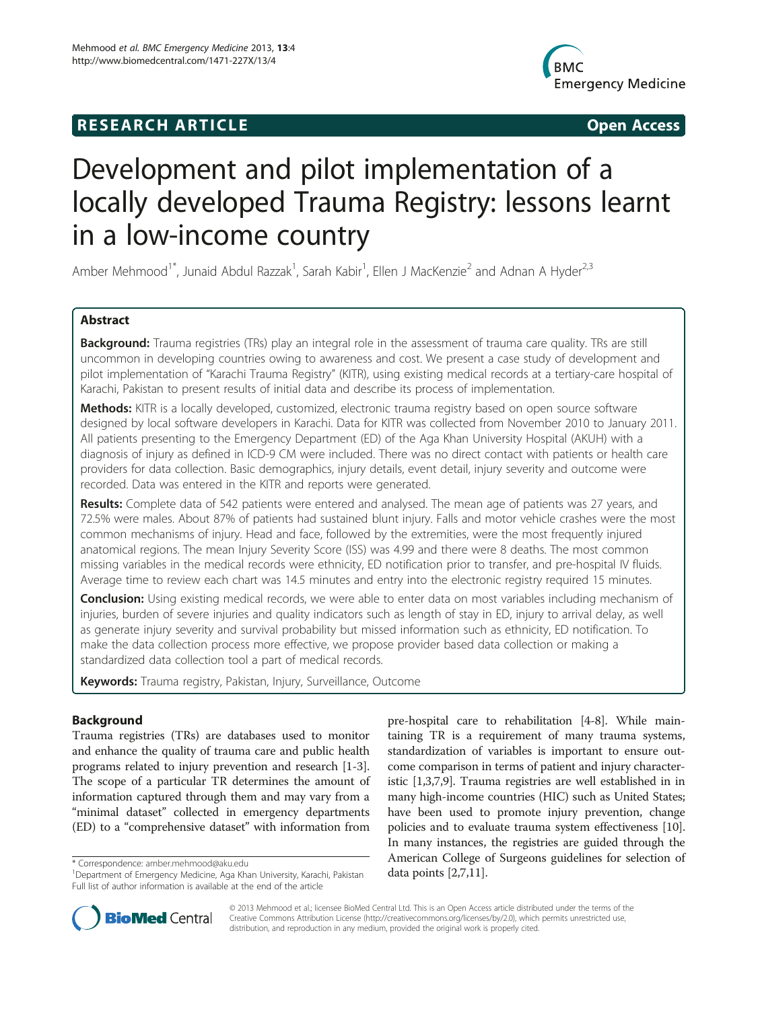# **RESEARCH ARTICLE Example 2018 12:00 Open Access**



# Development and pilot implementation of a locally developed Trauma Registry: lessons learnt in a low-income country

Amber Mehmood<sup>1\*</sup>, Junaid Abdul Razzak<sup>1</sup>, Sarah Kabir<sup>1</sup>, Ellen J MacKenzie<sup>2</sup> and Adnan A Hyder<sup>2,3</sup>

# Abstract

Background: Trauma registries (TRs) play an integral role in the assessment of trauma care quality. TRs are still uncommon in developing countries owing to awareness and cost. We present a case study of development and pilot implementation of "Karachi Trauma Registry" (KITR), using existing medical records at a tertiary-care hospital of Karachi, Pakistan to present results of initial data and describe its process of implementation.

Methods: KITR is a locally developed, customized, electronic trauma registry based on open source software designed by local software developers in Karachi. Data for KITR was collected from November 2010 to January 2011. All patients presenting to the Emergency Department (ED) of the Aga Khan University Hospital (AKUH) with a diagnosis of injury as defined in ICD-9 CM were included. There was no direct contact with patients or health care providers for data collection. Basic demographics, injury details, event detail, injury severity and outcome were recorded. Data was entered in the KITR and reports were generated.

Results: Complete data of 542 patients were entered and analysed. The mean age of patients was 27 years, and 72.5% were males. About 87% of patients had sustained blunt injury. Falls and motor vehicle crashes were the most common mechanisms of injury. Head and face, followed by the extremities, were the most frequently injured anatomical regions. The mean Injury Severity Score (ISS) was 4.99 and there were 8 deaths. The most common missing variables in the medical records were ethnicity, ED notification prior to transfer, and pre-hospital IV fluids. Average time to review each chart was 14.5 minutes and entry into the electronic registry required 15 minutes.

**Conclusion:** Using existing medical records, we were able to enter data on most variables including mechanism of injuries, burden of severe injuries and quality indicators such as length of stay in ED, injury to arrival delay, as well as generate injury severity and survival probability but missed information such as ethnicity, ED notification. To make the data collection process more effective, we propose provider based data collection or making a standardized data collection tool a part of medical records.

Keywords: Trauma registry, Pakistan, Injury, Surveillance, Outcome

# Background

Trauma registries (TRs) are databases used to monitor and enhance the quality of trauma care and public health programs related to injury prevention and research [\[1](#page-6-0)-[3](#page-6-0)]. The scope of a particular TR determines the amount of information captured through them and may vary from a "minimal dataset" collected in emergency departments (ED) to a "comprehensive dataset" with information from

pre-hospital care to rehabilitation [\[4](#page-6-0)-[8](#page-6-0)]. While maintaining TR is a requirement of many trauma systems, standardization of variables is important to ensure outcome comparison in terms of patient and injury characteristic [\[1,3,7,9\]](#page-6-0). Trauma registries are well established in in many high-income countries (HIC) such as United States; have been used to promote injury prevention, change policies and to evaluate trauma system effectiveness [[10](#page-6-0)]. In many instances, the registries are guided through the American College of Surgeons guidelines for selection of



© 2013 Mehmood et al.; licensee BioMed Central Ltd. This is an Open Access article distributed under the terms of the Creative Commons Attribution License (<http://creativecommons.org/licenses/by/2.0>), which permits unrestricted use, distribution, and reproduction in any medium, provided the original work is properly cited.

<sup>\*</sup> Correspondence: [amber.mehmood@aku.edu](mailto:amber.mehmood@aku.edu)<br><sup>1</sup>Department of Emergency Medicine, Aga Khan University, Karachi, Pakistan **data points [[2,7](#page-6-0),[11](#page-6-0)]**. Full list of author information is available at the end of the article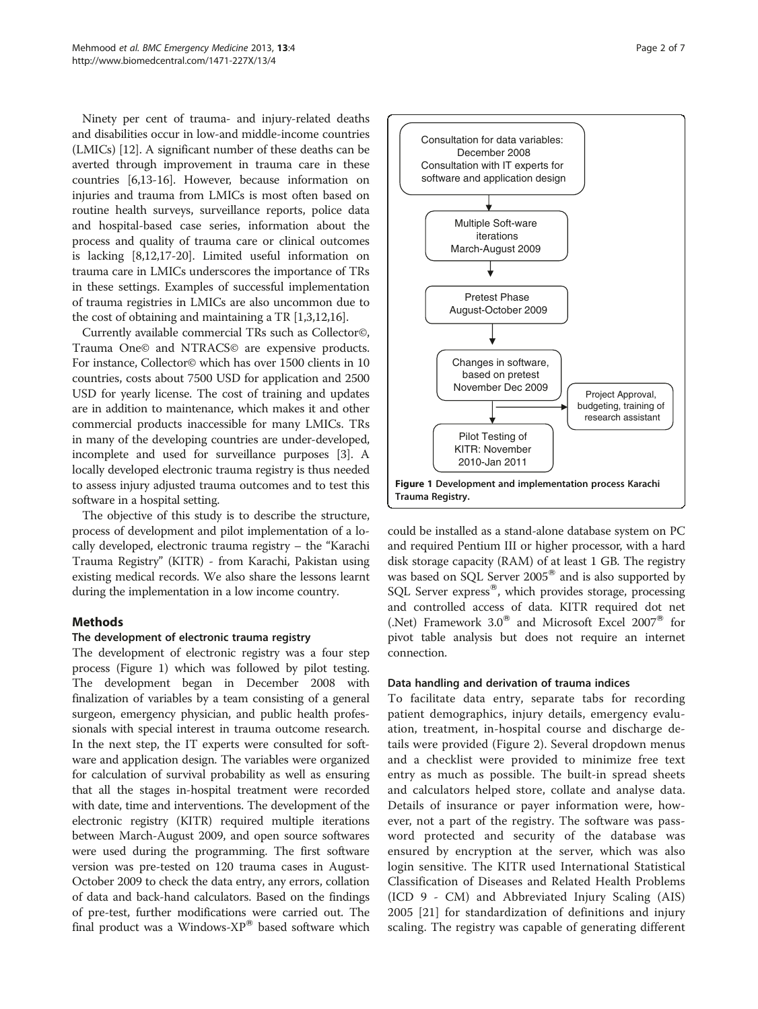Ninety per cent of trauma- and injury-related deaths and disabilities occur in low-and middle-income countries (LMICs) [[12](#page-6-0)]. A significant number of these deaths can be averted through improvement in trauma care in these countries [\[6,13-16\]](#page-6-0). However, because information on injuries and trauma from LMICs is most often based on routine health surveys, surveillance reports, police data and hospital-based case series, information about the process and quality of trauma care or clinical outcomes is lacking [[8](#page-6-0),[12,17-20\]](#page-6-0). Limited useful information on trauma care in LMICs underscores the importance of TRs in these settings. Examples of successful implementation of trauma registries in LMICs are also uncommon due to the cost of obtaining and maintaining a TR [[1,3,12,16\]](#page-6-0).

Currently available commercial TRs such as Collector©, Trauma One© and NTRACS© are expensive products. For instance, Collector© which has over 1500 clients in 10 countries, costs about 7500 USD for application and 2500 USD for yearly license. The cost of training and updates are in addition to maintenance, which makes it and other commercial products inaccessible for many LMICs. TRs in many of the developing countries are under-developed, incomplete and used for surveillance purposes [[3](#page-6-0)]. A locally developed electronic trauma registry is thus needed to assess injury adjusted trauma outcomes and to test this software in a hospital setting.

The objective of this study is to describe the structure, process of development and pilot implementation of a locally developed, electronic trauma registry – the "Karachi Trauma Registry" (KITR) - from Karachi, Pakistan using existing medical records. We also share the lessons learnt during the implementation in a low income country.

# Methods

# The development of electronic trauma registry

The development of electronic registry was a four step process (Figure 1) which was followed by pilot testing. The development began in December 2008 with finalization of variables by a team consisting of a general surgeon, emergency physician, and public health professionals with special interest in trauma outcome research. In the next step, the IT experts were consulted for software and application design. The variables were organized for calculation of survival probability as well as ensuring that all the stages in-hospital treatment were recorded with date, time and interventions. The development of the electronic registry (KITR) required multiple iterations between March-August 2009, and open source softwares were used during the programming. The first software version was pre-tested on 120 trauma cases in August-October 2009 to check the data entry, any errors, collation of data and back-hand calculators. Based on the findings of pre-test, further modifications were carried out. The final product was a Windows- $XP^{\circledast}$  based software which





could be installed as a stand-alone database system on PC and required Pentium III or higher processor, with a hard disk storage capacity (RAM) of at least 1 GB. The registry was based on SQL Server  $2005^{\circ}$  and is also supported by SQL Server express<sup>®</sup>, which provides storage, processing and controlled access of data. KITR required dot net (.Net) Framework  $3.0^{\circ}$  and Microsoft Excel 2007 $^{\circ}$  for pivot table analysis but does not require an internet connection.

# Data handling and derivation of trauma indices

To facilitate data entry, separate tabs for recording patient demographics, injury details, emergency evaluation, treatment, in-hospital course and discharge details were provided (Figure [2](#page-2-0)). Several dropdown menus and a checklist were provided to minimize free text entry as much as possible. The built-in spread sheets and calculators helped store, collate and analyse data. Details of insurance or payer information were, however, not a part of the registry. The software was password protected and security of the database was ensured by encryption at the server, which was also login sensitive. The KITR used International Statistical Classification of Diseases and Related Health Problems (ICD 9 - CM) and Abbreviated Injury Scaling (AIS) 2005 [\[21](#page-6-0)] for standardization of definitions and injury scaling. The registry was capable of generating different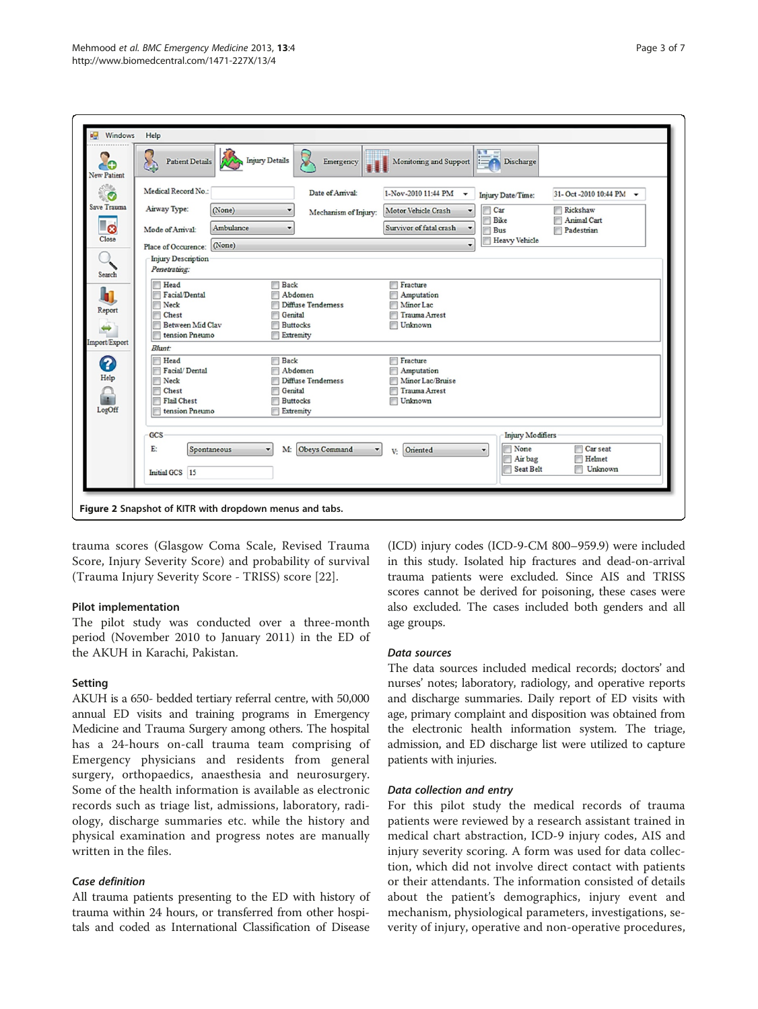<span id="page-2-0"></span>

| AG.<br><b>New Patient</b> | 8<br><b>Injury Details</b><br>Patient Details<br>Emergency | Monitoring and Support  | $-14$<br>Discharge<br>$E = \Omega$ |                           |
|---------------------------|------------------------------------------------------------|-------------------------|------------------------------------|---------------------------|
| ँ०                        | Medical Record No.:<br>Date of Arrival:                    | 1-Nov-2010 11:44 PM     | Injury Date/Time:                  | 31-Oct -2010 10:44 PM     |
| Save Trauma               | Airway Type:<br>(None)<br>Mechanism of Injury:             | Motor Vehicle Crash     | Car                                | Rickshaw                  |
| ්ව                        | Ambulance<br>۰<br>Mode of Arrival:                         | Survivor of fatal crash | Bike<br><b>Bus</b>                 | Animal Cart<br>Padestrian |
| Close                     | (None)<br>Place of Occurence:                              | ۰                       | <b>Heavy Vehicle</b>               |                           |
|                           | <b>Injury Description</b>                                  |                         |                                    |                           |
| Search                    | Penetrating:                                               |                         |                                    |                           |
|                           | Head<br>F<br>Back                                          | Fracture                |                                    |                           |
|                           | Facial/Dental<br>Abdomen<br>π                              | Amputation<br>戸         |                                    |                           |
| Report                    | Neck<br>Diffuse Tendemess                                  | Minor Lac               |                                    |                           |
|                           | Genital<br>Chest                                           | <b>Trauma Arrest</b>    |                                    |                           |
| $\rightarrow$             | Between Mid Clay<br><b>Buttocks</b><br>tension Pneumo      | Unknown                 |                                    |                           |
| Import/Export             | Extremity                                                  |                         |                                    |                           |
|                           | Blunt:<br>Head<br><b>Back</b>                              | Fracture                |                                    |                           |
| 3                         | Facial/Dental<br>Abdomen                                   | Amputation<br>m         |                                    |                           |
| Help                      | Neck<br>Diffuse Tendemess                                  | Minor Lac/Bruise        |                                    |                           |
|                           | Genital<br>Chest                                           | <b>Trauma Arrest</b>    |                                    |                           |
| in.                       | <b>Flail Chest</b><br><b>Buttocks</b>                      | Unknown                 |                                    |                           |
| LogOff                    | tension Pneumo<br>Extremity                                |                         |                                    |                           |
|                           | GCS                                                        |                         | <b>Injury Modifiers</b>            |                           |
|                           |                                                            |                         |                                    |                           |
|                           | E:<br>Obeys Command<br>Spontaneous<br>М.<br>۰              | Oriented<br>V-          | None<br>$\overline{\phantom{a}}$   | Car seat                  |
|                           |                                                            |                         | Air bag<br>Seat Belt               | Helmet<br>Unknown         |
|                           | Initial GCS 15                                             |                         |                                    |                           |

trauma scores (Glasgow Coma Scale, Revised Trauma Score, Injury Severity Score) and probability of survival (Trauma Injury Severity Score - TRISS) score [[22\]](#page-6-0).

# Pilot implementation

The pilot study was conducted over a three-month period (November 2010 to January 2011) in the ED of the AKUH in Karachi, Pakistan.

# Setting

AKUH is a 650- bedded tertiary referral centre, with 50,000 annual ED visits and training programs in Emergency Medicine and Trauma Surgery among others. The hospital has a 24-hours on-call trauma team comprising of Emergency physicians and residents from general surgery, orthopaedics, anaesthesia and neurosurgery. Some of the health information is available as electronic records such as triage list, admissions, laboratory, radiology, discharge summaries etc. while the history and physical examination and progress notes are manually written in the files.

# Case definition

All trauma patients presenting to the ED with history of trauma within 24 hours, or transferred from other hospitals and coded as International Classification of Disease

(ICD) injury codes (ICD-9-CM 800–959.9) were included in this study. Isolated hip fractures and dead-on-arrival trauma patients were excluded. Since AIS and TRISS scores cannot be derived for poisoning, these cases were also excluded. The cases included both genders and all age groups.

# Data sources

The data sources included medical records; doctors' and nurses' notes; laboratory, radiology, and operative reports and discharge summaries. Daily report of ED visits with age, primary complaint and disposition was obtained from the electronic health information system. The triage, admission, and ED discharge list were utilized to capture patients with injuries.

# Data collection and entry

For this pilot study the medical records of trauma patients were reviewed by a research assistant trained in medical chart abstraction, ICD-9 injury codes, AIS and injury severity scoring. A form was used for data collection, which did not involve direct contact with patients or their attendants. The information consisted of details about the patient's demographics, injury event and mechanism, physiological parameters, investigations, severity of injury, operative and non-operative procedures,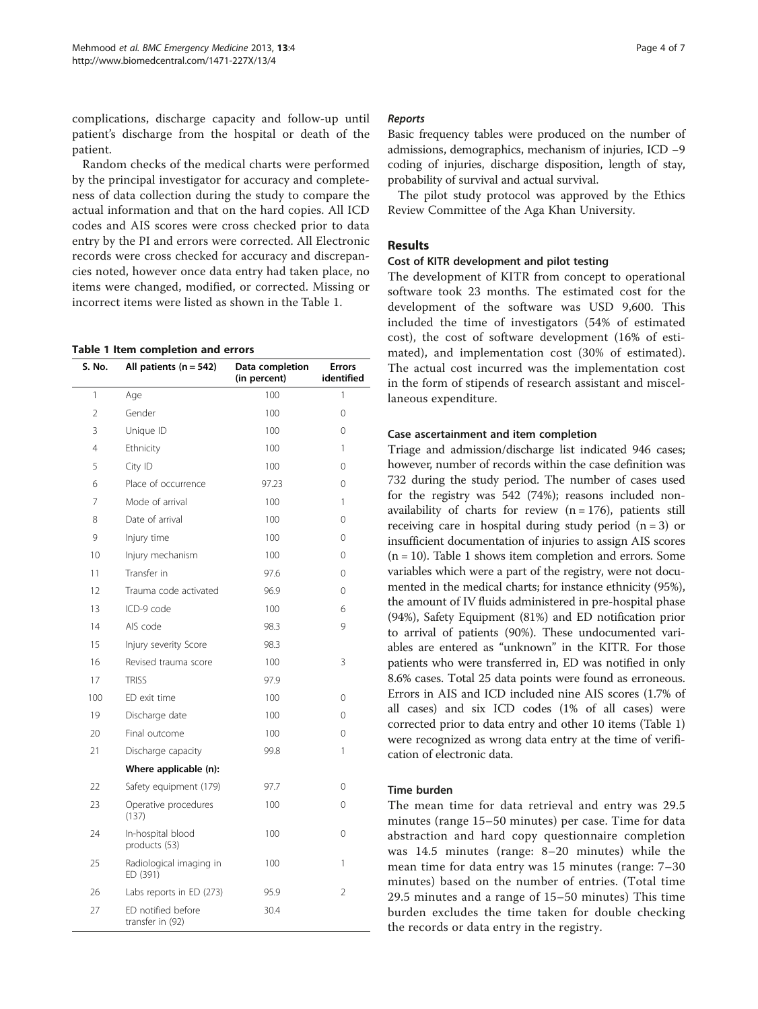complications, discharge capacity and follow-up until patient's discharge from the hospital or death of the patient.

Random checks of the medical charts were performed by the principal investigator for accuracy and completeness of data collection during the study to compare the actual information and that on the hard copies. All ICD codes and AIS scores were cross checked prior to data entry by the PI and errors were corrected. All Electronic records were cross checked for accuracy and discrepancies noted, however once data entry had taken place, no items were changed, modified, or corrected. Missing or incorrect items were listed as shown in the Table 1.

#### Table 1 Item completion and errors

| S. No.         | All patients $(n = 542)$               | Data completion<br>(in percent) | Errors<br>identified |
|----------------|----------------------------------------|---------------------------------|----------------------|
| 1              | Age                                    | 100                             | 1                    |
| $\overline{2}$ | Gender                                 | 100                             | 0                    |
| 3              | Unique ID                              | 100                             | 0                    |
| 4              | Ethnicity                              | 100                             | 1                    |
| 5              | City ID                                | 100                             | $\Omega$             |
| 6              | Place of occurrence                    | 97.23                           | 0                    |
| 7              | Mode of arrival                        | 100                             | 1                    |
| 8              | Date of arrival                        | 100                             | $\Omega$             |
| 9              | Injury time                            | 100                             | 0                    |
| 10             | Injury mechanism                       | 100                             | 0                    |
| 11             | Transfer in                            | 97.6                            | 0                    |
| 12             | Trauma code activated                  | 96.9                            | 0                    |
| 13             | ICD-9 code                             | 100                             | 6                    |
| 14             | AIS code                               | 98.3                            | 9                    |
| 15             | Injury severity Score                  | 98.3                            |                      |
| 16             | Revised trauma score                   | 100                             | 3                    |
| 17             | <b>TRISS</b>                           | 97.9                            |                      |
| 100            | ED exit time                           | 100                             | 0                    |
| 19             | Discharge date                         | 100                             | 0                    |
| 20             | Final outcome                          | 100                             | 0                    |
| 21             | Discharge capacity                     | 99.8                            | 1                    |
|                | Where applicable (n):                  |                                 |                      |
| 22             | Safety equipment (179)                 | 97.7                            | $\Omega$             |
| 23             | Operative procedures<br>(137)          | 100                             | 0                    |
| 24             | In-hospital blood<br>products (53)     | 100                             | 0                    |
| 25             | Radiological imaging in<br>ED (391)    | 100                             | 1                    |
| 26             | Labs reports in ED (273)               | 95.9                            | $\overline{2}$       |
| 27             | ED notified before<br>transfer in (92) | 30.4                            |                      |

#### Reports

Basic frequency tables were produced on the number of admissions, demographics, mechanism of injuries, ICD −9 coding of injuries, discharge disposition, length of stay, probability of survival and actual survival.

The pilot study protocol was approved by the Ethics Review Committee of the Aga Khan University.

#### Results

#### Cost of KITR development and pilot testing

The development of KITR from concept to operational software took 23 months. The estimated cost for the development of the software was USD 9,600. This included the time of investigators (54% of estimated cost), the cost of software development (16% of estimated), and implementation cost (30% of estimated). The actual cost incurred was the implementation cost in the form of stipends of research assistant and miscellaneous expenditure.

#### Case ascertainment and item completion

Triage and admission/discharge list indicated 946 cases; however, number of records within the case definition was 732 during the study period. The number of cases used for the registry was 542 (74%); reasons included nonavailability of charts for review  $(n = 176)$ , patients still receiving care in hospital during study period  $(n = 3)$  or insufficient documentation of injuries to assign AIS scores  $(n = 10)$ . Table 1 shows item completion and errors. Some variables which were a part of the registry, were not documented in the medical charts; for instance ethnicity (95%), the amount of IV fluids administered in pre-hospital phase (94%), Safety Equipment (81%) and ED notification prior to arrival of patients (90%). These undocumented variables are entered as "unknown" in the KITR. For those patients who were transferred in, ED was notified in only 8.6% cases. Total 25 data points were found as erroneous. Errors in AIS and ICD included nine AIS scores (1.7% of all cases) and six ICD codes (1% of all cases) were corrected prior to data entry and other 10 items (Table 1) were recognized as wrong data entry at the time of verification of electronic data.

#### Time burden

The mean time for data retrieval and entry was 29.5 minutes (range 15–50 minutes) per case. Time for data abstraction and hard copy questionnaire completion was 14.5 minutes (range: 8–20 minutes) while the mean time for data entry was 15 minutes (range: 7–30 minutes) based on the number of entries. (Total time 29.5 minutes and a range of 15–50 minutes) This time burden excludes the time taken for double checking the records or data entry in the registry.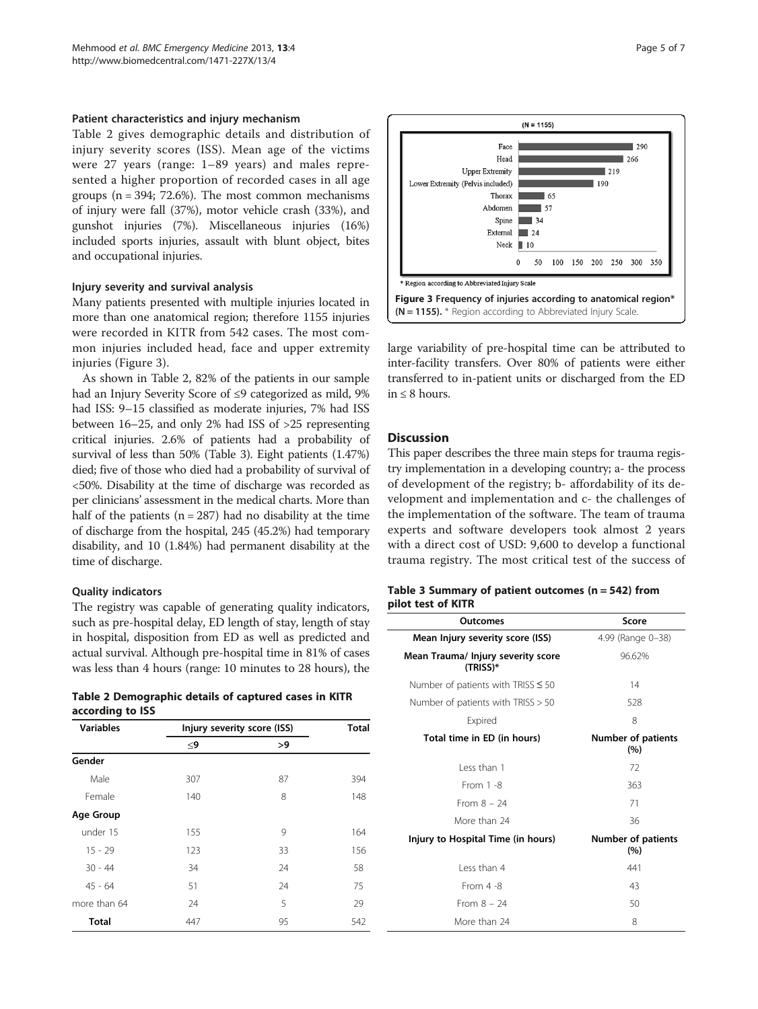#### Patient characteristics and injury mechanism

Table 2 gives demographic details and distribution of injury severity scores (ISS). Mean age of the victims were 27 years (range: 1–89 years) and males represented a higher proportion of recorded cases in all age groups  $(n = 394; 72.6\%)$ . The most common mechanisms of injury were fall (37%), motor vehicle crash (33%), and gunshot injuries (7%). Miscellaneous injuries (16%) included sports injuries, assault with blunt object, bites and occupational injuries.

#### Injury severity and survival analysis

Many patients presented with multiple injuries located in more than one anatomical region; therefore 1155 injuries were recorded in KITR from 542 cases. The most common injuries included head, face and upper extremity injuries (Figure 3).

As shown in Table 2, 82% of the patients in our sample had an Injury Severity Score of ≤9 categorized as mild, 9% had ISS: 9–15 classified as moderate injuries, 7% had ISS between 16–25, and only 2% had ISS of >25 representing critical injuries. 2.6% of patients had a probability of survival of less than 50% (Table 3). Eight patients (1.47%) died; five of those who died had a probability of survival of <50%. Disability at the time of discharge was recorded as per clinicians' assessment in the medical charts. More than half of the patients ( $n = 287$ ) had no disability at the time of discharge from the hospital, 245 (45.2%) had temporary disability, and 10 (1.84%) had permanent disability at the time of discharge.

#### Quality indicators

The registry was capable of generating quality indicators, such as pre-hospital delay, ED length of stay, length of stay in hospital, disposition from ED as well as predicted and actual survival. Although pre-hospital time in 81% of cases was less than 4 hours (range: 10 minutes to 28 hours), the

Table 2 Demographic details of captured cases in KITR according to ISS

| .,               |                             |    |              |  |  |  |
|------------------|-----------------------------|----|--------------|--|--|--|
| <b>Variables</b> | Injury severity score (ISS) |    | <b>Total</b> |  |  |  |
|                  | $\leq$ 9                    | >9 |              |  |  |  |
| Gender           |                             |    |              |  |  |  |
| Male             | 307                         | 87 | 394          |  |  |  |
| Female           | 140                         | 8  | 148          |  |  |  |
| Age Group        |                             |    |              |  |  |  |
| under 15         | 155                         | 9  | 164          |  |  |  |
| $15 - 29$        | 123                         | 33 | 156          |  |  |  |
| $30 - 44$        | 34                          | 24 | 58           |  |  |  |
| $45 - 64$        | 51                          | 24 | 75           |  |  |  |
| more than 64     | 24                          | 5  | 29           |  |  |  |
| <b>Total</b>     | 447                         | 95 | 542          |  |  |  |



large variability of pre-hospital time can be attributed to inter-facility transfers. Over 80% of patients were either transferred to in-patient units or discharged from the ED in ≤ 8 hours.

# **Discussion**

This paper describes the three main steps for trauma registry implementation in a developing country; a- the process of development of the registry; b- affordability of its development and implementation and c- the challenges of the implementation of the software. The team of trauma experts and software developers took almost 2 years with a direct cost of USD: 9,600 to develop a functional trauma registry. The most critical test of the success of

#### Table 3 Summary of patient outcomes ( $n = 542$ ) from pilot test of KITR

| Outcomes                                         | Score                            |  |
|--------------------------------------------------|----------------------------------|--|
| Mean Injury severity score (ISS)                 | 4.99 (Range 0-38)                |  |
| Mean Trauma/ Injury severity score<br>$(TRISS)*$ | 96.62%                           |  |
| Number of patients with TRISS $\leq 50$          | 14                               |  |
| Number of patients with TRISS $> 50$             | 528                              |  |
| Expired                                          | 8                                |  |
| Total time in ED (in hours)                      | <b>Number of patients</b><br>(%) |  |
| Less than 1                                      | 72                               |  |
| From $1 - 8$                                     | 363                              |  |
| From $8 - 24$                                    | 71                               |  |
| More than 24                                     | 36                               |  |
| Injury to Hospital Time (in hours)               | <b>Number of patients</b><br>(%) |  |
| I ess than 4                                     | 441                              |  |
| From $4 - 8$                                     | 43                               |  |
| From $8 - 24$                                    | 50                               |  |
| More than 24                                     | 8                                |  |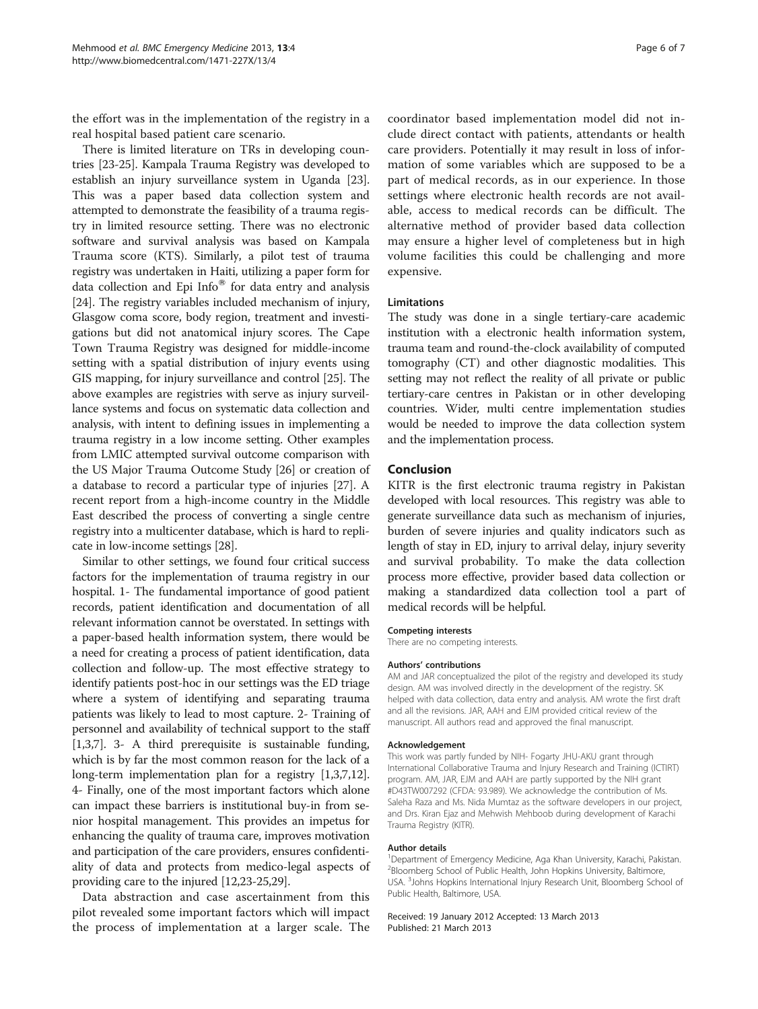the effort was in the implementation of the registry in a real hospital based patient care scenario.

There is limited literature on TRs in developing countries [\[23-25](#page-6-0)]. Kampala Trauma Registry was developed to establish an injury surveillance system in Uganda [[23](#page-6-0)]. This was a paper based data collection system and attempted to demonstrate the feasibility of a trauma registry in limited resource setting. There was no electronic software and survival analysis was based on Kampala Trauma score (KTS). Similarly, a pilot test of trauma registry was undertaken in Haiti, utilizing a paper form for data collection and Epi Info $^{\circledR}$  for data entry and analysis [[24](#page-6-0)]. The registry variables included mechanism of injury, Glasgow coma score, body region, treatment and investigations but did not anatomical injury scores. The Cape Town Trauma Registry was designed for middle-income setting with a spatial distribution of injury events using GIS mapping, for injury surveillance and control [\[25\]](#page-6-0). The above examples are registries with serve as injury surveillance systems and focus on systematic data collection and analysis, with intent to defining issues in implementing a trauma registry in a low income setting. Other examples from LMIC attempted survival outcome comparison with the US Major Trauma Outcome Study [[26](#page-6-0)] or creation of a database to record a particular type of injuries [[27\]](#page-6-0). A recent report from a high-income country in the Middle East described the process of converting a single centre registry into a multicenter database, which is hard to replicate in low-income settings [[28](#page-6-0)].

Similar to other settings, we found four critical success factors for the implementation of trauma registry in our hospital. 1- The fundamental importance of good patient records, patient identification and documentation of all relevant information cannot be overstated. In settings with a paper-based health information system, there would be a need for creating a process of patient identification, data collection and follow-up. The most effective strategy to identify patients post-hoc in our settings was the ED triage where a system of identifying and separating trauma patients was likely to lead to most capture. 2- Training of personnel and availability of technical support to the staff [[1,3](#page-6-0),[7](#page-6-0)]. 3- A third prerequisite is sustainable funding, which is by far the most common reason for the lack of a long-term implementation plan for a registry [\[1,3,7,12](#page-6-0)]. 4- Finally, one of the most important factors which alone can impact these barriers is institutional buy-in from senior hospital management. This provides an impetus for enhancing the quality of trauma care, improves motivation and participation of the care providers, ensures confidentiality of data and protects from medico-legal aspects of providing care to the injured [[12](#page-6-0),[23](#page-6-0)-[25,29\]](#page-6-0).

Data abstraction and case ascertainment from this pilot revealed some important factors which will impact the process of implementation at a larger scale. The

coordinator based implementation model did not include direct contact with patients, attendants or health care providers. Potentially it may result in loss of information of some variables which are supposed to be a part of medical records, as in our experience. In those settings where electronic health records are not available, access to medical records can be difficult. The alternative method of provider based data collection may ensure a higher level of completeness but in high volume facilities this could be challenging and more expensive.

#### Limitations

The study was done in a single tertiary-care academic institution with a electronic health information system, trauma team and round-the-clock availability of computed tomography (CT) and other diagnostic modalities. This setting may not reflect the reality of all private or public tertiary-care centres in Pakistan or in other developing countries. Wider, multi centre implementation studies would be needed to improve the data collection system and the implementation process.

#### Conclusion

KITR is the first electronic trauma registry in Pakistan developed with local resources. This registry was able to generate surveillance data such as mechanism of injuries, burden of severe injuries and quality indicators such as length of stay in ED, injury to arrival delay, injury severity and survival probability. To make the data collection process more effective, provider based data collection or making a standardized data collection tool a part of medical records will be helpful.

#### Competing interests

There are no competing interests.

#### Authors' contributions

AM and JAR conceptualized the pilot of the registry and developed its study design. AM was involved directly in the development of the registry. SK helped with data collection, data entry and analysis. AM wrote the first draft and all the revisions. JAR, AAH and EJM provided critical review of the manuscript. All authors read and approved the final manuscript.

#### Acknowledgement

This work was partly funded by NIH- Fogarty JHU-AKU grant through International Collaborative Trauma and Injury Research and Training (ICTIRT) program. AM, JAR, EJM and AAH are partly supported by the NIH grant #D43TW007292 (CFDA: 93.989). We acknowledge the contribution of Ms. Saleha Raza and Ms. Nida Mumtaz as the software developers in our project, and Drs. Kiran Ejaz and Mehwish Mehboob during development of Karachi Trauma Registry (KITR).

#### Author details

<sup>1</sup> Department of Emergency Medicine, Aga Khan University, Karachi, Pakistan. 2 Bloomberg School of Public Health, John Hopkins University, Baltimore, USA. <sup>3</sup>Johns Hopkins International Injury Research Unit, Bloomberg School of Public Health, Baltimore, USA.

Received: 19 January 2012 Accepted: 13 March 2013 Published: 21 March 2013